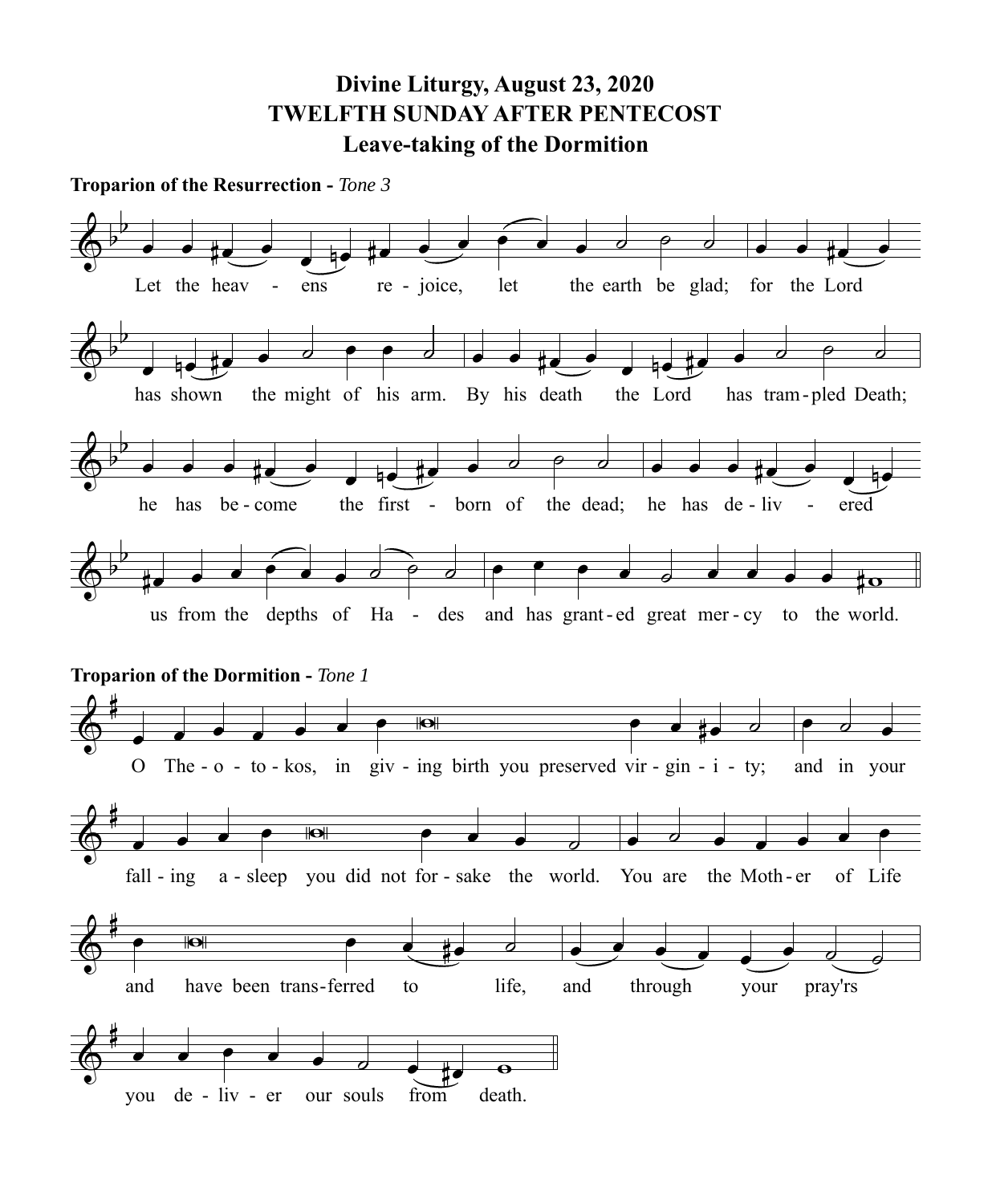**Divine Liturgy, August 23, 2020 TWELFTH SUNDAY AFTER PENTECOST Leave-taking of the Dormition**

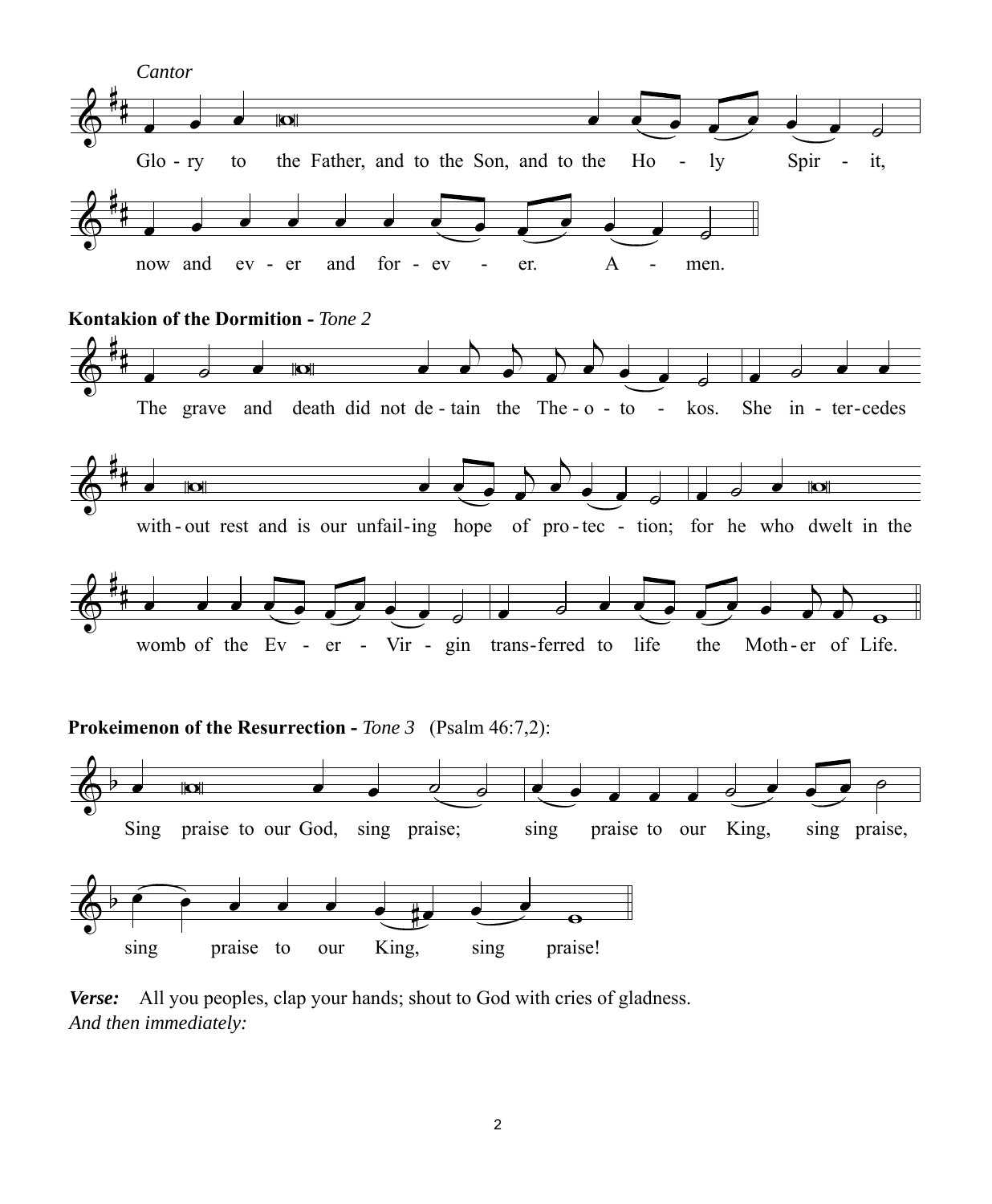

*Verse:* All you peoples, clap your hands; shout to God with cries of gladness. *And then immediately:*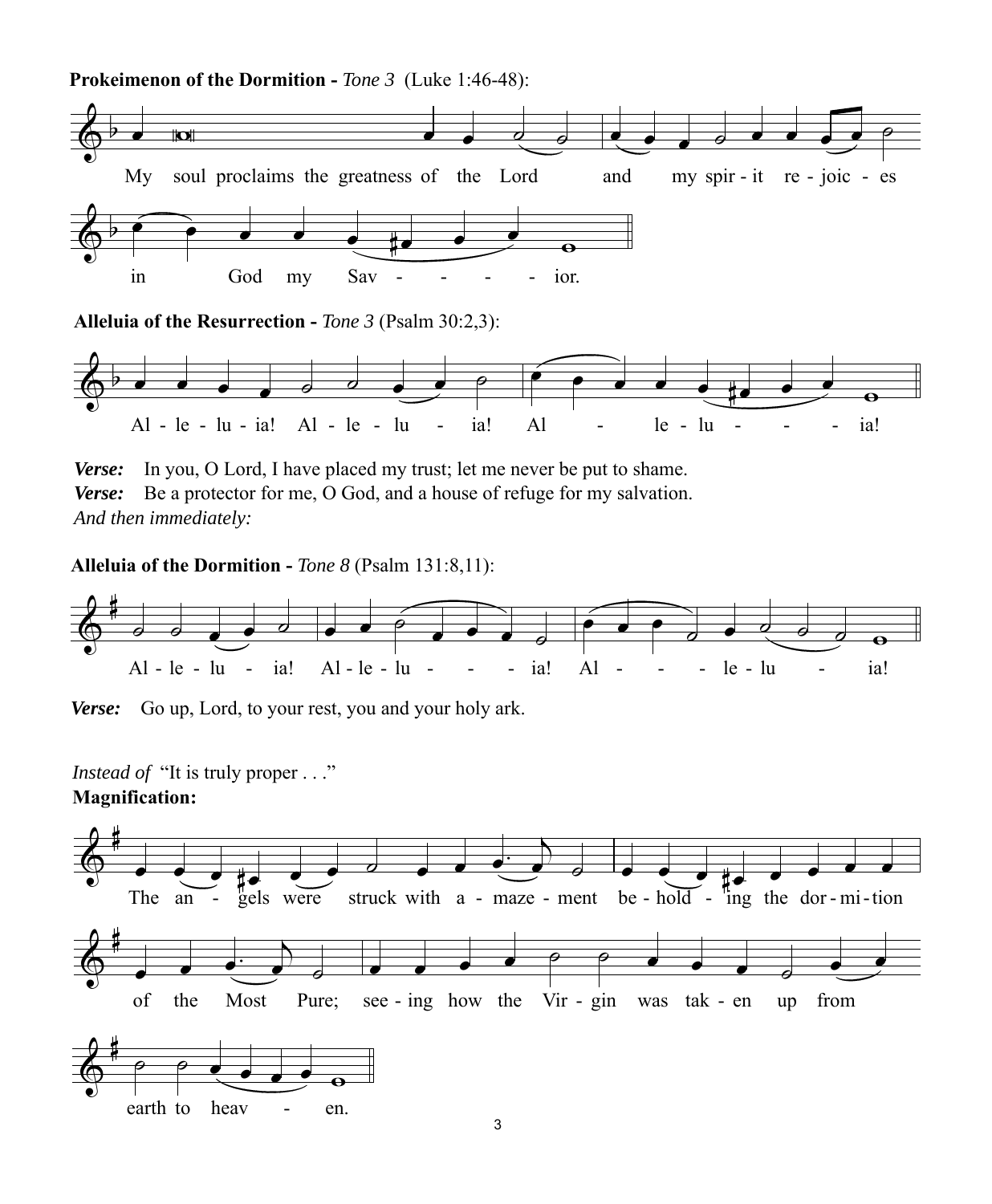

**Alleluia of the Resurrection -** *Tone 3* (Psalm 30:2,3):



*Verse:* In you, O Lord, I have placed my trust; let me never be put to shame. *Verse:* Be a protector for me, O God, and a house of refuge for my salvation. *And then immediately:*

**Alleluia of the Dormition -** *Tone 8* (Psalm 131:8,11):



*Verse:* Go up, Lord, to your rest, you and your holy ark.

*Instead of* "It is truly proper . . ."

## **Magnification:**